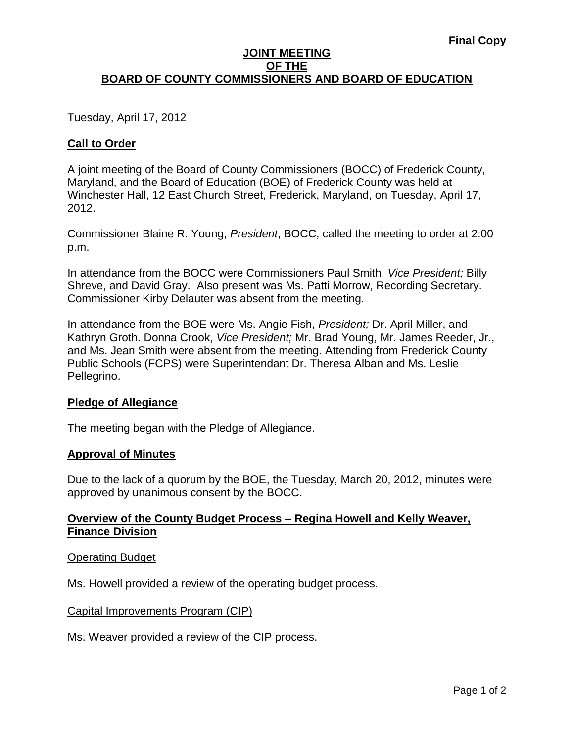## **JOINT MEETING OF THE BOARD OF COUNTY COMMISSIONERS AND BOARD OF EDUCATION**

Tuesday, April 17, 2012

# **Call to Order**

A joint meeting of the Board of County Commissioners (BOCC) of Frederick County, Maryland, and the Board of Education (BOE) of Frederick County was held at Winchester Hall, 12 East Church Street, Frederick, Maryland, on Tuesday, April 17, 2012.

Commissioner Blaine R. Young, *President*, BOCC, called the meeting to order at 2:00 p.m.

In attendance from the BOCC were Commissioners Paul Smith, *Vice President;* Billy Shreve, and David Gray. Also present was Ms. Patti Morrow, Recording Secretary. Commissioner Kirby Delauter was absent from the meeting.

In attendance from the BOE were Ms. Angie Fish, *President;* Dr. April Miller, and Kathryn Groth. Donna Crook, *Vice President;* Mr. Brad Young, Mr. James Reeder, Jr., and Ms. Jean Smith were absent from the meeting. Attending from Frederick County Public Schools (FCPS) were Superintendant Dr. Theresa Alban and Ms. Leslie Pellegrino.

# **Pledge of Allegiance**

The meeting began with the Pledge of Allegiance.

## **Approval of Minutes**

Due to the lack of a quorum by the BOE, the Tuesday, March 20, 2012, minutes were approved by unanimous consent by the BOCC.

# **Overview of the County Budget Process – Regina Howell and Kelly Weaver, Finance Division**

Operating Budget

Ms. Howell provided a review of the operating budget process.

## Capital Improvements Program (CIP)

Ms. Weaver provided a review of the CIP process.